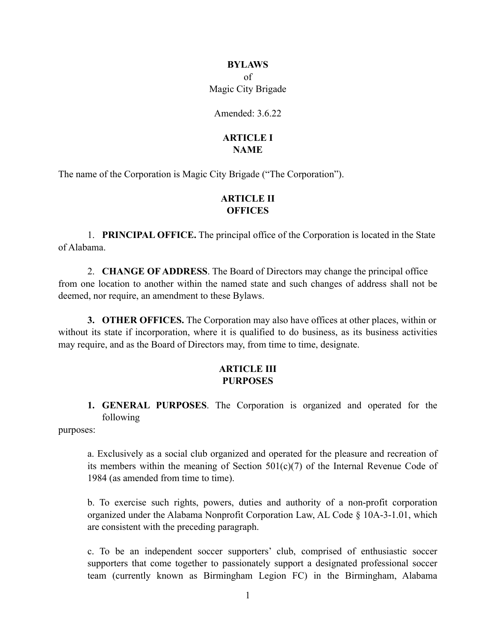# **BYLAWS** of

Magic City Brigade

Amended:  $3.6.22$ 

## **ARTICLE I NAME**

The name of the Corporation is Magic City Brigade ("The Corporation").

## **ARTICLE II OFFICES**

1. **PRINCIPAL OFFICE.** The principal office of the Corporation is located in the State of Alabama.

2. **CHANGE OF ADDRESS**. The Board of Directors may change the principal office from one location to another within the named state and such changes of address shall not be deemed, nor require, an amendment to these Bylaws.

**3. OTHER OFFICES.** The Corporation may also have offices at other places, within or without its state if incorporation, where it is qualified to do business, as its business activities may require, and as the Board of Directors may, from time to time, designate.

### **ARTICLE III PURPOSES**

**1. GENERAL PURPOSES**. The Corporation is organized and operated for the following

purposes:

a. Exclusively as a social club organized and operated for the pleasure and recreation of its members within the meaning of Section  $501(c)(7)$  of the Internal Revenue Code of 1984 (as amended from time to time).

b. To exercise such rights, powers, duties and authority of a non-profit corporation organized under the Alabama Nonprofit Corporation Law, AL Code § 10A-3-1.01, which are consistent with the preceding paragraph.

c. To be an independent soccer supporters' club, comprised of enthusiastic soccer supporters that come together to passionately support a designated professional soccer team (currently known as Birmingham Legion FC) in the Birmingham, Alabama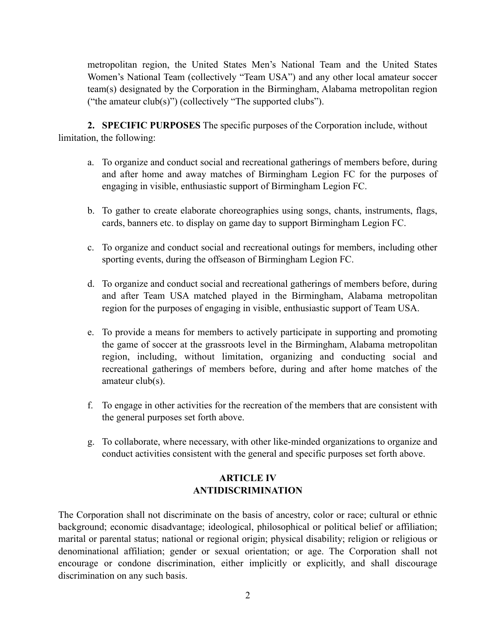metropolitan region, the United States Men's National Team and the United States Women's National Team (collectively "Team USA") and any other local amateur soccer team(s) designated by the Corporation in the Birmingham, Alabama metropolitan region ("the amateur club(s)") (collectively "The supported clubs").

**2. SPECIFIC PURPOSES** The specific purposes of the Corporation include, without limitation, the following:

- a. To organize and conduct social and recreational gatherings of members before, during and after home and away matches of Birmingham Legion FC for the purposes of engaging in visible, enthusiastic support of Birmingham Legion FC.
- b. To gather to create elaborate choreographies using songs, chants, instruments, flags, cards, banners etc. to display on game day to support Birmingham Legion FC.
- c. To organize and conduct social and recreational outings for members, including other sporting events, during the offseason of Birmingham Legion FC.
- d. To organize and conduct social and recreational gatherings of members before, during and after Team USA matched played in the Birmingham, Alabama metropolitan region for the purposes of engaging in visible, enthusiastic support of Team USA.
- e. To provide a means for members to actively participate in supporting and promoting the game of soccer at the grassroots level in the Birmingham, Alabama metropolitan region, including, without limitation, organizing and conducting social and recreational gatherings of members before, during and after home matches of the amateur club(s).
- f. To engage in other activities for the recreation of the members that are consistent with the general purposes set forth above.
- g. To collaborate, where necessary, with other like-minded organizations to organize and conduct activities consistent with the general and specific purposes set forth above.

# **ARTICLE IV ANTIDISCRIMINATION**

The Corporation shall not discriminate on the basis of ancestry, color or race; cultural or ethnic background; economic disadvantage; ideological, philosophical or political belief or affiliation; marital or parental status; national or regional origin; physical disability; religion or religious or denominational affiliation; gender or sexual orientation; or age. The Corporation shall not encourage or condone discrimination, either implicitly or explicitly, and shall discourage discrimination on any such basis.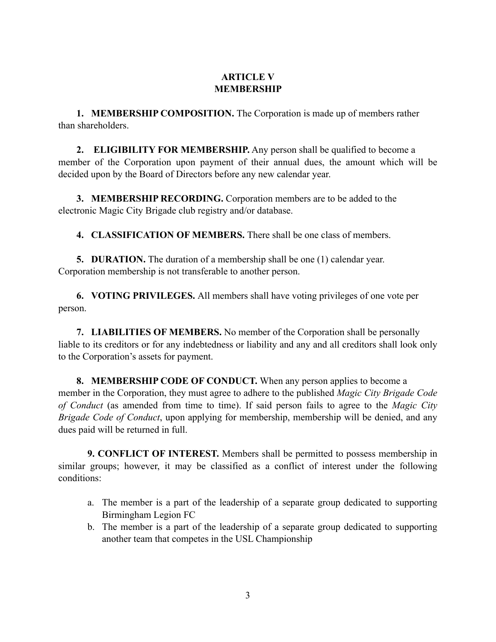# **ARTICLE V MEMBERSHIP**

**1. MEMBERSHIP COMPOSITION.** The Corporation is made up of members rather than shareholders.

**2. ELIGIBILITY FOR MEMBERSHIP.** Any person shall be qualified to become a member of the Corporation upon payment of their annual dues, the amount which will be decided upon by the Board of Directors before any new calendar year.

**3. MEMBERSHIP RECORDING.** Corporation members are to be added to the electronic Magic City Brigade club registry and/or database.

**4. CLASSIFICATION OF MEMBERS.** There shall be one class of members.

**5. DURATION.** The duration of a membership shall be one (1) calendar year. Corporation membership is not transferable to another person.

**6. VOTING PRIVILEGES.** All members shall have voting privileges of one vote per person.

**7. LIABILITIES OF MEMBERS.** No member of the Corporation shall be personally liable to its creditors or for any indebtedness or liability and any and all creditors shall look only to the Corporation's assets for payment.

**8. MEMBERSHIP CODE OF CONDUCT.** When any person applies to become a member in the Corporation, they must agree to adhere to the published *Magic City Brigade Code of Conduct* (as amended from time to time). If said person fails to agree to the *Magic City Brigade Code of Conduct*, upon applying for membership, membership will be denied, and any dues paid will be returned in full.

**9. CONFLICT OF INTEREST.** Members shall be permitted to possess membership in similar groups; however, it may be classified as a conflict of interest under the following conditions:

- a. The member is a part of the leadership of a separate group dedicated to supporting Birmingham Legion FC
- b. The member is a part of the leadership of a separate group dedicated to supporting another team that competes in the USL Championship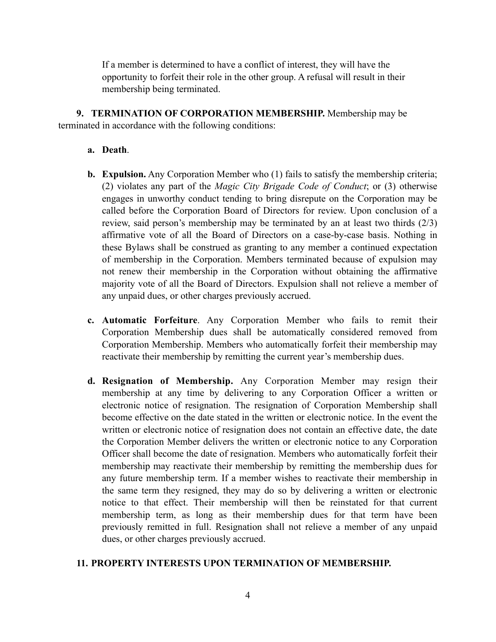If a member is determined to have a conflict of interest, they will have the opportunity to forfeit their role in the other group. A refusal will result in their membership being terminated.

**9. TERMINATION OF CORPORATION MEMBERSHIP.** Membership may be terminated in accordance with the following conditions:

### **a. Death**.

- **b. Expulsion.** Any Corporation Member who (1) fails to satisfy the membership criteria; (2) violates any part of the *Magic City Brigade Code of Conduct*; or (3) otherwise engages in unworthy conduct tending to bring disrepute on the Corporation may be called before the Corporation Board of Directors for review. Upon conclusion of a review, said person's membership may be terminated by an at least two thirds (2/3) affirmative vote of all the Board of Directors on a case-by-case basis. Nothing in these Bylaws shall be construed as granting to any member a continued expectation of membership in the Corporation. Members terminated because of expulsion may not renew their membership in the Corporation without obtaining the affirmative majority vote of all the Board of Directors. Expulsion shall not relieve a member of any unpaid dues, or other charges previously accrued.
- **c. Automatic Forfeiture**. Any Corporation Member who fails to remit their Corporation Membership dues shall be automatically considered removed from Corporation Membership. Members who automatically forfeit their membership may reactivate their membership by remitting the current year's membership dues.
- **d. Resignation of Membership.** Any Corporation Member may resign their membership at any time by delivering to any Corporation Officer a written or electronic notice of resignation. The resignation of Corporation Membership shall become effective on the date stated in the written or electronic notice. In the event the written or electronic notice of resignation does not contain an effective date, the date the Corporation Member delivers the written or electronic notice to any Corporation Officer shall become the date of resignation. Members who automatically forfeit their membership may reactivate their membership by remitting the membership dues for any future membership term. If a member wishes to reactivate their membership in the same term they resigned, they may do so by delivering a written or electronic notice to that effect. Their membership will then be reinstated for that current membership term, as long as their membership dues for that term have been previously remitted in full. Resignation shall not relieve a member of any unpaid dues, or other charges previously accrued.

### **11. PROPERTY INTERESTS UPON TERMINATION OF MEMBERSHIP.**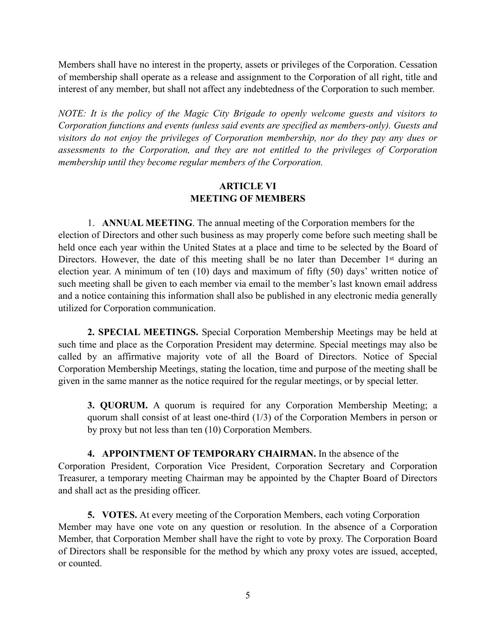Members shall have no interest in the property, assets or privileges of the Corporation. Cessation of membership shall operate as a release and assignment to the Corporation of all right, title and interest of any member, but shall not affect any indebtedness of the Corporation to such member.

*NOTE: It is the policy of the Magic City Brigade to openly welcome guests and visitors to Corporation functions and events (unless said events are specified as members-only). Guests and visitors do not enjoy the privileges of Corporation membership, nor do they pay any dues or assessments to the Corporation, and they are not entitled to the privileges of Corporation membership until they become regular members of the Corporation.*

### **ARTICLE VI MEETING OF MEMBERS**

1. **ANNUAL MEETING**. The annual meeting of the Corporation members for the election of Directors and other such business as may properly come before such meeting shall be held once each year within the United States at a place and time to be selected by the Board of Directors. However, the date of this meeting shall be no later than December 1<sup>st</sup> during an election year. A minimum of ten (10) days and maximum of fifty (50) days' written notice of such meeting shall be given to each member via email to the member's last known email address and a notice containing this information shall also be published in any electronic media generally utilized for Corporation communication.

**2. SPECIAL MEETINGS.** Special Corporation Membership Meetings may be held at such time and place as the Corporation President may determine. Special meetings may also be called by an affirmative majority vote of all the Board of Directors. Notice of Special Corporation Membership Meetings, stating the location, time and purpose of the meeting shall be given in the same manner as the notice required for the regular meetings, or by special letter.

**3. QUORUM.** A quorum is required for any Corporation Membership Meeting; a quorum shall consist of at least one-third (1/3) of the Corporation Members in person or by proxy but not less than ten (10) Corporation Members.

**4. APPOINTMENT OF TEMPORARY CHAIRMAN.** In the absence of the Corporation President, Corporation Vice President, Corporation Secretary and Corporation Treasurer, a temporary meeting Chairman may be appointed by the Chapter Board of Directors and shall act as the presiding officer.

**5. VOTES.** At every meeting of the Corporation Members, each voting Corporation Member may have one vote on any question or resolution. In the absence of a Corporation Member, that Corporation Member shall have the right to vote by proxy. The Corporation Board of Directors shall be responsible for the method by which any proxy votes are issued, accepted, or counted.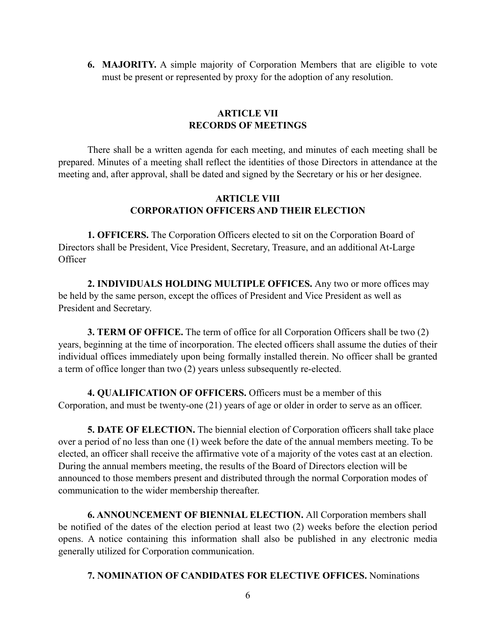**6. MAJORITY.** A simple majority of Corporation Members that are eligible to vote must be present or represented by proxy for the adoption of any resolution.

### **ARTICLE VII RECORDS OF MEETINGS**

There shall be a written agenda for each meeting, and minutes of each meeting shall be prepared. Minutes of a meeting shall reflect the identities of those Directors in attendance at the meeting and, after approval, shall be dated and signed by the Secretary or his or her designee.

### **ARTICLE VIII CORPORATION OFFICERS AND THEIR ELECTION**

**1. OFFICERS.** The Corporation Officers elected to sit on the Corporation Board of Directors shall be President, Vice President, Secretary, Treasure, and an additional At-Large **Officer** 

**2. INDIVIDUALS HOLDING MULTIPLE OFFICES.** Any two or more offices may be held by the same person, except the offices of President and Vice President as well as President and Secretary.

**3. TERM OF OFFICE.** The term of office for all Corporation Officers shall be two (2) years, beginning at the time of incorporation. The elected officers shall assume the duties of their individual offices immediately upon being formally installed therein. No officer shall be granted a term of office longer than two (2) years unless subsequently re-elected.

**4. QUALIFICATION OF OFFICERS.** Officers must be a member of this Corporation, and must be twenty-one (21) years of age or older in order to serve as an officer.

**5. DATE OF ELECTION.** The biennial election of Corporation officers shall take place over a period of no less than one (1) week before the date of the annual members meeting. To be elected, an officer shall receive the affirmative vote of a majority of the votes cast at an election. During the annual members meeting, the results of the Board of Directors election will be announced to those members present and distributed through the normal Corporation modes of communication to the wider membership thereafter.

**6. ANNOUNCEMENT OF BIENNIAL ELECTION.** All Corporation members shall be notified of the dates of the election period at least two (2) weeks before the election period opens. A notice containing this information shall also be published in any electronic media generally utilized for Corporation communication.

**7. NOMINATION OF CANDIDATES FOR ELECTIVE OFFICES.** Nominations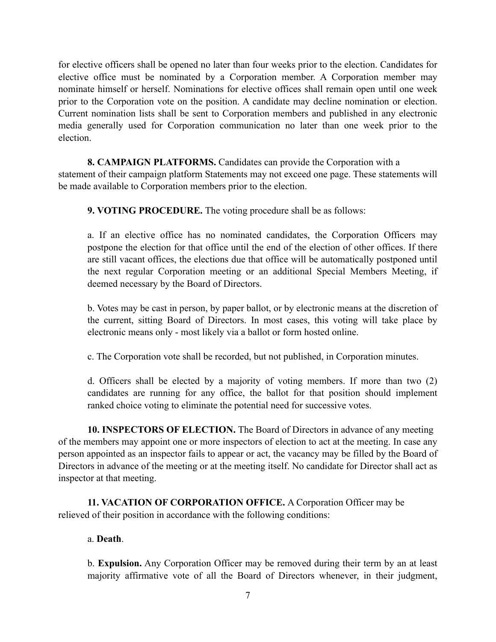for elective officers shall be opened no later than four weeks prior to the election. Candidates for elective office must be nominated by a Corporation member. A Corporation member may nominate himself or herself. Nominations for elective offices shall remain open until one week prior to the Corporation vote on the position. A candidate may decline nomination or election. Current nomination lists shall be sent to Corporation members and published in any electronic media generally used for Corporation communication no later than one week prior to the election.

### **8. CAMPAIGN PLATFORMS.** Candidates can provide the Corporation with a

statement of their campaign platform Statements may not exceed one page. These statements will be made available to Corporation members prior to the election.

**9. VOTING PROCEDURE.** The voting procedure shall be as follows:

a. If an elective office has no nominated candidates, the Corporation Officers may postpone the election for that office until the end of the election of other offices. If there are still vacant offices, the elections due that office will be automatically postponed until the next regular Corporation meeting or an additional Special Members Meeting, if deemed necessary by the Board of Directors.

b. Votes may be cast in person, by paper ballot, or by electronic means at the discretion of the current, sitting Board of Directors. In most cases, this voting will take place by electronic means only - most likely via a ballot or form hosted online.

c. The Corporation vote shall be recorded, but not published, in Corporation minutes.

d. Officers shall be elected by a majority of voting members. If more than two (2) candidates are running for any office, the ballot for that position should implement ranked choice voting to eliminate the potential need for successive votes.

**10. INSPECTORS OF ELECTION.** The Board of Directors in advance of any meeting of the members may appoint one or more inspectors of election to act at the meeting. In case any person appointed as an inspector fails to appear or act, the vacancy may be filled by the Board of Directors in advance of the meeting or at the meeting itself. No candidate for Director shall act as inspector at that meeting.

**11. VACATION OF CORPORATION OFFICE.** A Corporation Officer may be relieved of their position in accordance with the following conditions:

### a. **Death**.

b. **Expulsion.** Any Corporation Officer may be removed during their term by an at least majority affirmative vote of all the Board of Directors whenever, in their judgment,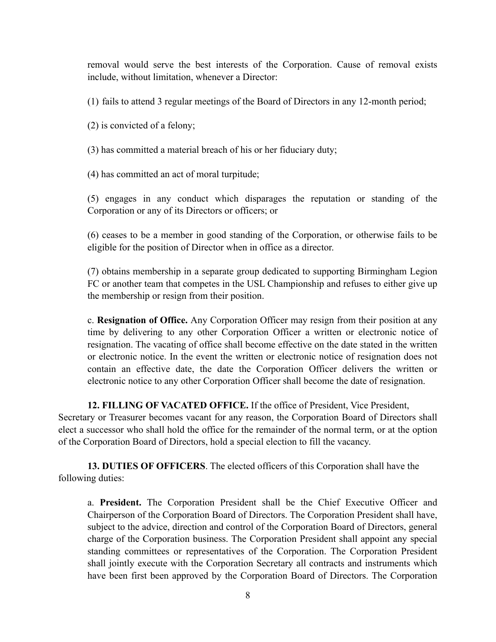removal would serve the best interests of the Corporation. Cause of removal exists include, without limitation, whenever a Director:

(1) fails to attend 3 regular meetings of the Board of Directors in any 12-month period;

(2) is convicted of a felony;

(3) has committed a material breach of his or her fiduciary duty;

(4) has committed an act of moral turpitude;

(5) engages in any conduct which disparages the reputation or standing of the Corporation or any of its Directors or officers; or

(6) ceases to be a member in good standing of the Corporation, or otherwise fails to be eligible for the position of Director when in office as a director.

(7) obtains membership in a separate group dedicated to supporting Birmingham Legion FC or another team that competes in the USL Championship and refuses to either give up the membership or resign from their position.

c. **Resignation of Office.** Any Corporation Officer may resign from their position at any time by delivering to any other Corporation Officer a written or electronic notice of resignation. The vacating of office shall become effective on the date stated in the written or electronic notice. In the event the written or electronic notice of resignation does not contain an effective date, the date the Corporation Officer delivers the written or electronic notice to any other Corporation Officer shall become the date of resignation.

**12. FILLING OF VACATED OFFICE.** If the office of President, Vice President,

Secretary or Treasurer becomes vacant for any reason, the Corporation Board of Directors shall elect a successor who shall hold the office for the remainder of the normal term, or at the option of the Corporation Board of Directors, hold a special election to fill the vacancy.

**13. DUTIES OF OFFICERS**. The elected officers of this Corporation shall have the following duties:

a. **President.** The Corporation President shall be the Chief Executive Officer and Chairperson of the Corporation Board of Directors. The Corporation President shall have, subject to the advice, direction and control of the Corporation Board of Directors, general charge of the Corporation business. The Corporation President shall appoint any special standing committees or representatives of the Corporation. The Corporation President shall jointly execute with the Corporation Secretary all contracts and instruments which have been first been approved by the Corporation Board of Directors. The Corporation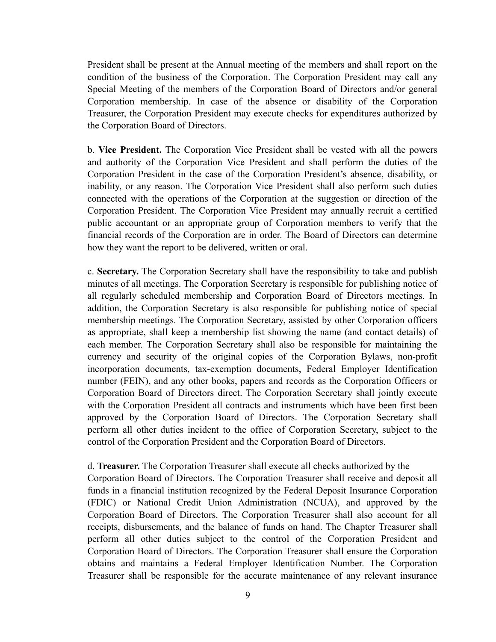President shall be present at the Annual meeting of the members and shall report on the condition of the business of the Corporation. The Corporation President may call any Special Meeting of the members of the Corporation Board of Directors and/or general Corporation membership. In case of the absence or disability of the Corporation Treasurer, the Corporation President may execute checks for expenditures authorized by the Corporation Board of Directors.

b. **Vice President.** The Corporation Vice President shall be vested with all the powers and authority of the Corporation Vice President and shall perform the duties of the Corporation President in the case of the Corporation President's absence, disability, or inability, or any reason. The Corporation Vice President shall also perform such duties connected with the operations of the Corporation at the suggestion or direction of the Corporation President. The Corporation Vice President may annually recruit a certified public accountant or an appropriate group of Corporation members to verify that the financial records of the Corporation are in order. The Board of Directors can determine how they want the report to be delivered, written or oral.

c. **Secretary.** The Corporation Secretary shall have the responsibility to take and publish minutes of all meetings. The Corporation Secretary is responsible for publishing notice of all regularly scheduled membership and Corporation Board of Directors meetings. In addition, the Corporation Secretary is also responsible for publishing notice of special membership meetings. The Corporation Secretary, assisted by other Corporation officers as appropriate, shall keep a membership list showing the name (and contact details) of each member. The Corporation Secretary shall also be responsible for maintaining the currency and security of the original copies of the Corporation Bylaws, non-profit incorporation documents, tax-exemption documents, Federal Employer Identification number (FEIN), and any other books, papers and records as the Corporation Officers or Corporation Board of Directors direct. The Corporation Secretary shall jointly execute with the Corporation President all contracts and instruments which have been first been approved by the Corporation Board of Directors. The Corporation Secretary shall perform all other duties incident to the office of Corporation Secretary, subject to the control of the Corporation President and the Corporation Board of Directors.

#### d. **Treasurer.** The Corporation Treasurer shall execute all checks authorized by the

Corporation Board of Directors. The Corporation Treasurer shall receive and deposit all funds in a financial institution recognized by the Federal Deposit Insurance Corporation (FDIC) or National Credit Union Administration (NCUA), and approved by the Corporation Board of Directors. The Corporation Treasurer shall also account for all receipts, disbursements, and the balance of funds on hand. The Chapter Treasurer shall perform all other duties subject to the control of the Corporation President and Corporation Board of Directors. The Corporation Treasurer shall ensure the Corporation obtains and maintains a Federal Employer Identification Number. The Corporation Treasurer shall be responsible for the accurate maintenance of any relevant insurance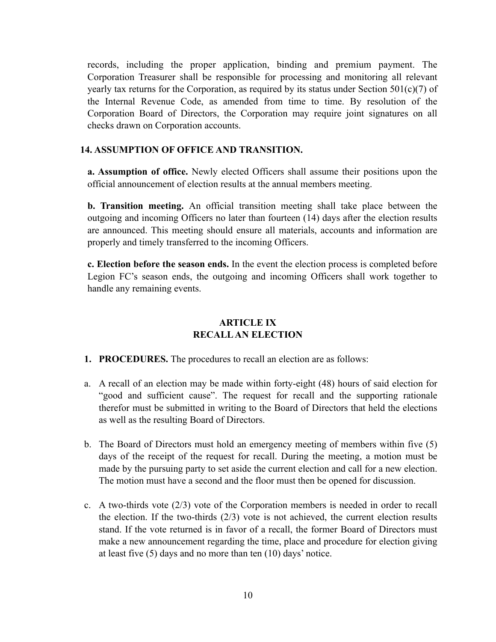records, including the proper application, binding and premium payment. The Corporation Treasurer shall be responsible for processing and monitoring all relevant yearly tax returns for the Corporation, as required by its status under Section  $501(c)(7)$  of the Internal Revenue Code, as amended from time to time. By resolution of the Corporation Board of Directors, the Corporation may require joint signatures on all checks drawn on Corporation accounts.

### **14. ASSUMPTION OF OFFICE AND TRANSITION.**

**a. Assumption of office.** Newly elected Officers shall assume their positions upon the official announcement of election results at the annual members meeting.

**b. Transition meeting.** An official transition meeting shall take place between the outgoing and incoming Officers no later than fourteen (14) days after the election results are announced. This meeting should ensure all materials, accounts and information are properly and timely transferred to the incoming Officers.

**c. Election before the season ends.** In the event the election process is completed before Legion FC's season ends, the outgoing and incoming Officers shall work together to handle any remaining events.

## **ARTICLE IX RECALL AN ELECTION**

- **1. PROCEDURES.** The procedures to recall an election are as follows:
- a. A recall of an election may be made within forty-eight (48) hours of said election for "good and sufficient cause". The request for recall and the supporting rationale therefor must be submitted in writing to the Board of Directors that held the elections as well as the resulting Board of Directors.
- b. The Board of Directors must hold an emergency meeting of members within five (5) days of the receipt of the request for recall. During the meeting, a motion must be made by the pursuing party to set aside the current election and call for a new election. The motion must have a second and the floor must then be opened for discussion.
- c. A two-thirds vote (2/3) vote of the Corporation members is needed in order to recall the election. If the two-thirds (2/3) vote is not achieved, the current election results stand. If the vote returned is in favor of a recall, the former Board of Directors must make a new announcement regarding the time, place and procedure for election giving at least five (5) days and no more than ten (10) days' notice.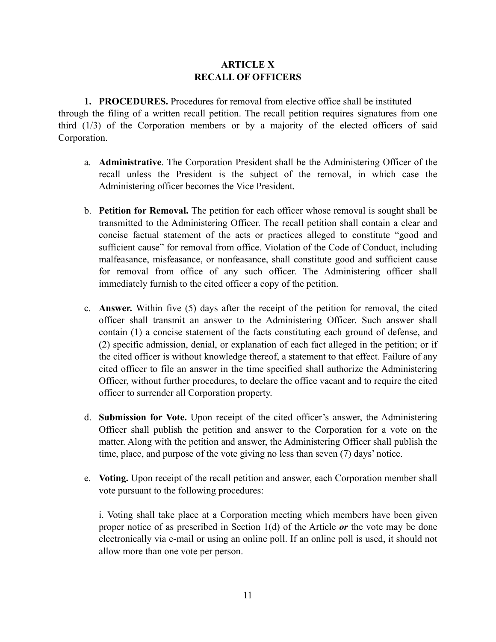# **ARTICLE X RECALL OF OFFICERS**

**1. PROCEDURES.** Procedures for removal from elective office shall be instituted through the filing of a written recall petition. The recall petition requires signatures from one third (1/3) of the Corporation members or by a majority of the elected officers of said Corporation.

- a. **Administrative**. The Corporation President shall be the Administering Officer of the recall unless the President is the subject of the removal, in which case the Administering officer becomes the Vice President.
- b. **Petition for Removal.** The petition for each officer whose removal is sought shall be transmitted to the Administering Officer. The recall petition shall contain a clear and concise factual statement of the acts or practices alleged to constitute "good and sufficient cause" for removal from office. Violation of the Code of Conduct, including malfeasance, misfeasance, or nonfeasance, shall constitute good and sufficient cause for removal from office of any such officer. The Administering officer shall immediately furnish to the cited officer a copy of the petition.
- c. **Answer.** Within five (5) days after the receipt of the petition for removal, the cited officer shall transmit an answer to the Administering Officer. Such answer shall contain (1) a concise statement of the facts constituting each ground of defense, and (2) specific admission, denial, or explanation of each fact alleged in the petition; or if the cited officer is without knowledge thereof, a statement to that effect. Failure of any cited officer to file an answer in the time specified shall authorize the Administering Officer, without further procedures, to declare the office vacant and to require the cited officer to surrender all Corporation property.
- d. **Submission for Vote.** Upon receipt of the cited officer's answer, the Administering Officer shall publish the petition and answer to the Corporation for a vote on the matter. Along with the petition and answer, the Administering Officer shall publish the time, place, and purpose of the vote giving no less than seven (7) days' notice.
- e. **Voting.** Upon receipt of the recall petition and answer, each Corporation member shall vote pursuant to the following procedures:

i. Voting shall take place at a Corporation meeting which members have been given proper notice of as prescribed in Section 1(d) of the Article *or* the vote may be done electronically via e-mail or using an online poll. If an online poll is used, it should not allow more than one vote per person.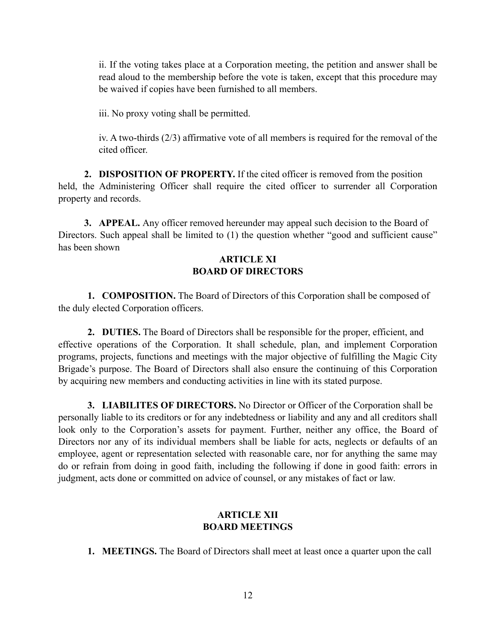ii. If the voting takes place at a Corporation meeting, the petition and answer shall be read aloud to the membership before the vote is taken, except that this procedure may be waived if copies have been furnished to all members.

iii. No proxy voting shall be permitted.

iv. A two-thirds (2/3) affirmative vote of all members is required for the removal of the cited officer.

**2. DISPOSITION OF PROPERTY.** If the cited officer is removed from the position held, the Administering Officer shall require the cited officer to surrender all Corporation property and records.

**3. APPEAL.** Any officer removed hereunder may appeal such decision to the Board of Directors. Such appeal shall be limited to (1) the question whether "good and sufficient cause" has been shown

### **ARTICLE XI BOARD OF DIRECTORS**

**1. COMPOSITION.** The Board of Directors of this Corporation shall be composed of the duly elected Corporation officers.

**2. DUTIES.** The Board of Directors shall be responsible for the proper, efficient, and effective operations of the Corporation. It shall schedule, plan, and implement Corporation programs, projects, functions and meetings with the major objective of fulfilling the Magic City Brigade's purpose. The Board of Directors shall also ensure the continuing of this Corporation by acquiring new members and conducting activities in line with its stated purpose.

**3. LIABILITES OF DIRECTORS.** No Director or Officer of the Corporation shall be personally liable to its creditors or for any indebtedness or liability and any and all creditors shall look only to the Corporation's assets for payment. Further, neither any office, the Board of Directors nor any of its individual members shall be liable for acts, neglects or defaults of an employee, agent or representation selected with reasonable care, nor for anything the same may do or refrain from doing in good faith, including the following if done in good faith: errors in judgment, acts done or committed on advice of counsel, or any mistakes of fact or law.

### **ARTICLE XII BOARD MEETINGS**

**1. MEETINGS.** The Board of Directors shall meet at least once a quarter upon the call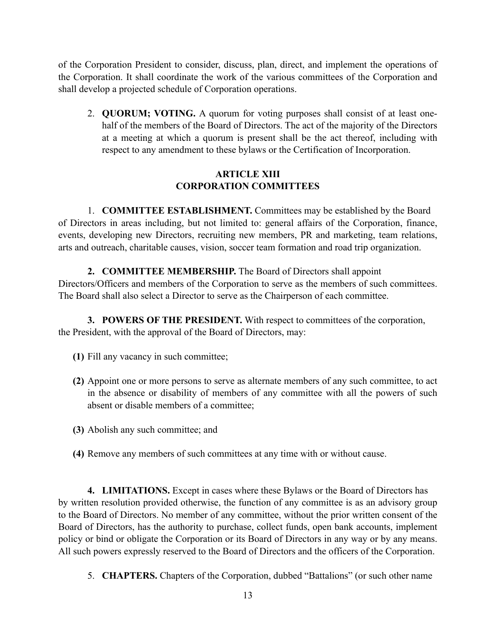of the Corporation President to consider, discuss, plan, direct, and implement the operations of the Corporation. It shall coordinate the work of the various committees of the Corporation and shall develop a projected schedule of Corporation operations.

2. **QUORUM; VOTING.** A quorum for voting purposes shall consist of at least onehalf of the members of the Board of Directors. The act of the majority of the Directors at a meeting at which a quorum is present shall be the act thereof, including with respect to any amendment to these bylaws or the Certification of Incorporation.

# **ARTICLE XIII CORPORATION COMMITTEES**

1. **COMMITTEE ESTABLISHMENT.** Committees may be established by the Board of Directors in areas including, but not limited to: general affairs of the Corporation, finance, events, developing new Directors, recruiting new members, PR and marketing, team relations, arts and outreach, charitable causes, vision, soccer team formation and road trip organization.

# **2. COMMITTEE MEMBERSHIP.** The Board of Directors shall appoint

Directors/Officers and members of the Corporation to serve as the members of such committees. The Board shall also select a Director to serve as the Chairperson of each committee.

**3. POWERS OF THE PRESIDENT.** With respect to committees of the corporation, the President, with the approval of the Board of Directors, may:

- **(1)** Fill any vacancy in such committee;
- **(2)** Appoint one or more persons to serve as alternate members of any such committee, to act in the absence or disability of members of any committee with all the powers of such absent or disable members of a committee;
- **(3)** Abolish any such committee; and
- **(4)** Remove any members of such committees at any time with or without cause.

**4. LIMITATIONS.** Except in cases where these Bylaws or the Board of Directors has by written resolution provided otherwise, the function of any committee is as an advisory group to the Board of Directors. No member of any committee, without the prior written consent of the Board of Directors, has the authority to purchase, collect funds, open bank accounts, implement policy or bind or obligate the Corporation or its Board of Directors in any way or by any means. All such powers expressly reserved to the Board of Directors and the officers of the Corporation.

5. **CHAPTERS.** Chapters of the Corporation, dubbed "Battalions" (or such other name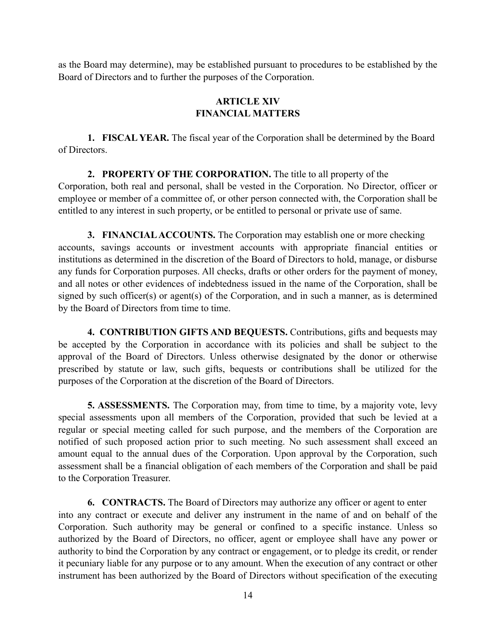as the Board may determine), may be established pursuant to procedures to be established by the Board of Directors and to further the purposes of the Corporation.

# **ARTICLE XIV FINANCIAL MATTERS**

**1. FISCAL YEAR.** The fiscal year of the Corporation shall be determined by the Board of Directors.

**2. PROPERTY OF THE CORPORATION.** The title to all property of the Corporation, both real and personal, shall be vested in the Corporation. No Director, officer or employee or member of a committee of, or other person connected with, the Corporation shall be entitled to any interest in such property, or be entitled to personal or private use of same.

**3. FINANCIAL ACCOUNTS.** The Corporation may establish one or more checking accounts, savings accounts or investment accounts with appropriate financial entities or institutions as determined in the discretion of the Board of Directors to hold, manage, or disburse any funds for Corporation purposes. All checks, drafts or other orders for the payment of money, and all notes or other evidences of indebtedness issued in the name of the Corporation, shall be signed by such officer(s) or agent(s) of the Corporation, and in such a manner, as is determined by the Board of Directors from time to time.

**4. CONTRIBUTION GIFTS AND BEQUESTS.** Contributions, gifts and bequests may be accepted by the Corporation in accordance with its policies and shall be subject to the approval of the Board of Directors. Unless otherwise designated by the donor or otherwise prescribed by statute or law, such gifts, bequests or contributions shall be utilized for the purposes of the Corporation at the discretion of the Board of Directors.

**5. ASSESSMENTS.** The Corporation may, from time to time, by a majority vote, levy special assessments upon all members of the Corporation, provided that such be levied at a regular or special meeting called for such purpose, and the members of the Corporation are notified of such proposed action prior to such meeting. No such assessment shall exceed an amount equal to the annual dues of the Corporation. Upon approval by the Corporation, such assessment shall be a financial obligation of each members of the Corporation and shall be paid to the Corporation Treasurer.

**6. CONTRACTS.** The Board of Directors may authorize any officer or agent to enter into any contract or execute and deliver any instrument in the name of and on behalf of the Corporation. Such authority may be general or confined to a specific instance. Unless so authorized by the Board of Directors, no officer, agent or employee shall have any power or authority to bind the Corporation by any contract or engagement, or to pledge its credit, or render it pecuniary liable for any purpose or to any amount. When the execution of any contract or other instrument has been authorized by the Board of Directors without specification of the executing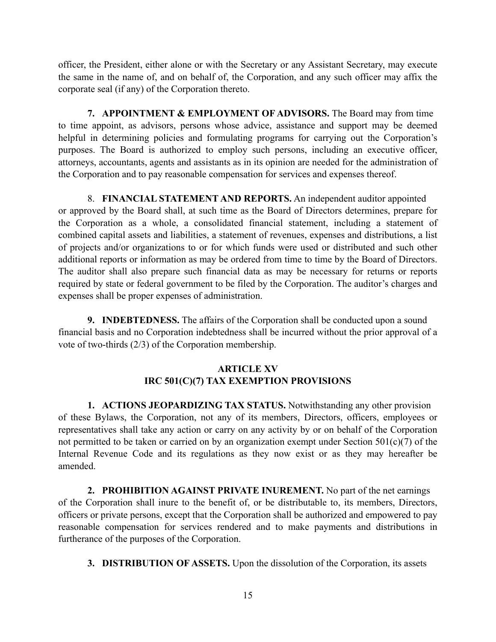officer, the President, either alone or with the Secretary or any Assistant Secretary, may execute the same in the name of, and on behalf of, the Corporation, and any such officer may affix the corporate seal (if any) of the Corporation thereto.

**7. APPOINTMENT & EMPLOYMENT OF ADVISORS.** The Board may from time to time appoint, as advisors, persons whose advice, assistance and support may be deemed helpful in determining policies and formulating programs for carrying out the Corporation's purposes. The Board is authorized to employ such persons, including an executive officer, attorneys, accountants, agents and assistants as in its opinion are needed for the administration of the Corporation and to pay reasonable compensation for services and expenses thereof.

8. **FINANCIAL STATEMENT AND REPORTS.** An independent auditor appointed or approved by the Board shall, at such time as the Board of Directors determines, prepare for the Corporation as a whole, a consolidated financial statement, including a statement of combined capital assets and liabilities, a statement of revenues, expenses and distributions, a list of projects and/or organizations to or for which funds were used or distributed and such other additional reports or information as may be ordered from time to time by the Board of Directors. The auditor shall also prepare such financial data as may be necessary for returns or reports required by state or federal government to be filed by the Corporation. The auditor's charges and expenses shall be proper expenses of administration.

**9. INDEBTEDNESS.** The affairs of the Corporation shall be conducted upon a sound financial basis and no Corporation indebtedness shall be incurred without the prior approval of a vote of two-thirds (2/3) of the Corporation membership.

## **ARTICLE XV IRC 501(C)(7) TAX EXEMPTION PROVISIONS**

**1. ACTIONS JEOPARDIZING TAX STATUS.** Notwithstanding any other provision of these Bylaws, the Corporation, not any of its members, Directors, officers, employees or representatives shall take any action or carry on any activity by or on behalf of the Corporation not permitted to be taken or carried on by an organization exempt under Section 501(c)(7) of the Internal Revenue Code and its regulations as they now exist or as they may hereafter be amended.

**2. PROHIBITION AGAINST PRIVATE INUREMENT.** No part of the net earnings of the Corporation shall inure to the benefit of, or be distributable to, its members, Directors, officers or private persons, except that the Corporation shall be authorized and empowered to pay reasonable compensation for services rendered and to make payments and distributions in furtherance of the purposes of the Corporation.

**3. DISTRIBUTION OF ASSETS.** Upon the dissolution of the Corporation, its assets